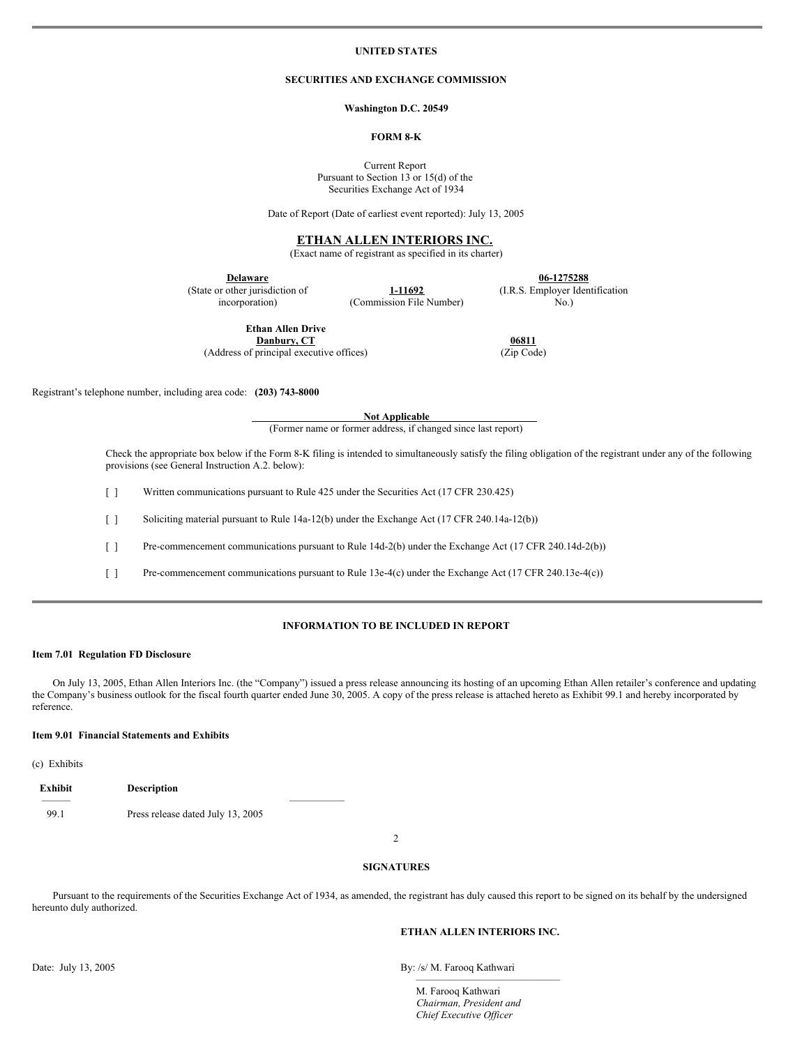### **UNITED STATES**

## **SECURITIES AND EXCHANGE COMMISSION**

#### **Washington D.C. 20549**

## **FORM 8-K**

Current Report Pursuant to Section 13 or 15(d) of the Securities Exchange Act of 1934

Date of Report (Date of earliest event reported): July 13, 2005

## **ETHAN ALLEN INTERIORS INC.**

(Exact name of registrant as specified in its charter)

**Delaware** (State or other jurisdiction of incorporation)

**1-11692** (Commission File Number)

**06-1275288** (I.R.S. Employer Identification No.)

**06811** (Zip Code)

**Ethan Allen Drive Danbury, CT**

(Address of principal executive offices)

Registrant's telephone number, including area code: **(203) 743-8000**

**Not Applicable**

(Former name or former address, if changed since last report)

Check the appropriate box below if the Form 8-K filing is intended to simultaneously satisfy the filing obligation of the registrant under any of the following provisions (see General Instruction A.2. below):

[ ] Written communications pursuant to Rule 425 under the Securities Act (17 CFR 230.425)

[ ] Soliciting material pursuant to Rule 14a-12(b) under the Exchange Act (17 CFR 240.14a-12(b))

[ ] Pre-commencement communications pursuant to Rule 14d-2(b) under the Exchange Act (17 CFR 240.14d-2(b))

[ ] Pre-commencement communications pursuant to Rule 13e-4(c) under the Exchange Act (17 CFR 240.13e-4(c))

## **INFORMATION TO BE INCLUDED IN REPORT**

#### **Item 7.01 Regulation FD Disclosure**

On July 13, 2005, Ethan Allen Interiors Inc. (the "Company") issued a press release announcing its hosting of an upcoming Ethan Allen retailer's conference and updating the Company's business outlook for the fiscal fourth quarter ended June 30, 2005. A copy of the press release is attached hereto as Exhibit 99.1 and hereby incorporated by reference.

#### **Item 9.01 Financial Statements and Exhibits**

(c) Exhibits

| Exhibit | <b>Description</b>                |  |
|---------|-----------------------------------|--|
|         |                                   |  |
| 99.1    | Press release dated July 13, 2005 |  |

 $\mathfrak{D}$ 

#### **SIGNATURES**

Pursuant to the requirements of the Securities Exchange Act of 1934, as amended, the registrant has duly caused this report to be signed on its behalf by the undersigned hereunto duly authorized.

#### **ETHAN ALLEN INTERIORS INC.**

——————————————

Date: July 13, 2005

By: /s/ M. Farooq Kathwari

M. Farooq Kathwari *Chairman, President and Chief Executive Of icer*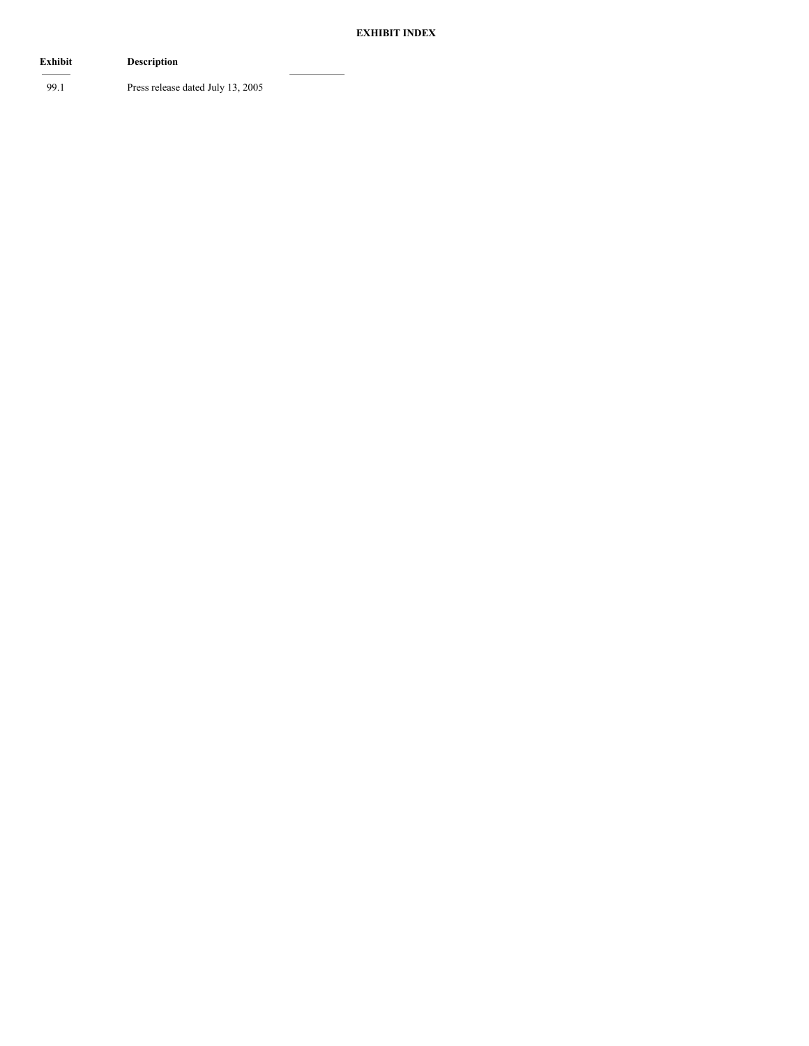# **EXHIBIT INDEX**

| Exhibit | <b>Description</b>                |
|---------|-----------------------------------|
| 99.1    | Press release dated July 13, 2005 |